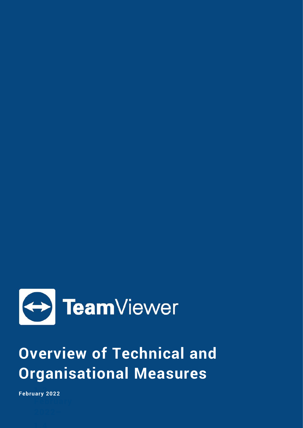

# **Overview of Technical and Organisational Measures**

**1.3 – February 2022**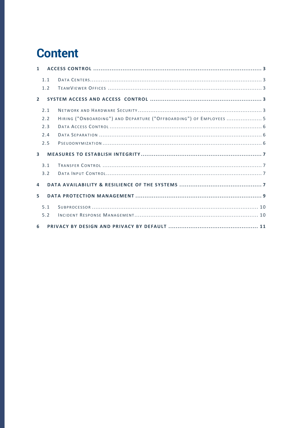# **Content**

| $\mathbf{1}$   |     |                                                                     |  |
|----------------|-----|---------------------------------------------------------------------|--|
|                | 1.1 |                                                                     |  |
|                | 1.2 |                                                                     |  |
| $\overline{2}$ |     |                                                                     |  |
|                | 2.1 |                                                                     |  |
|                | 2.2 | HIRING ("ONBOARDING") AND DEPARTURE ("OFFBOARDING") OF EMPLOYEES  5 |  |
|                | 2.3 |                                                                     |  |
|                | 2.4 |                                                                     |  |
|                | 2.5 |                                                                     |  |
| $\mathbf{R}$   |     |                                                                     |  |
|                | 3.1 |                                                                     |  |
|                | 3.2 |                                                                     |  |
| 4              |     |                                                                     |  |
| 5.             |     |                                                                     |  |
|                | 5.1 |                                                                     |  |
|                | 5.2 |                                                                     |  |
| 6              |     |                                                                     |  |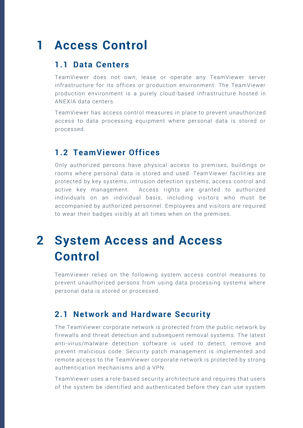### <span id="page-2-0"></span>**1 Access Control**

#### <span id="page-2-1"></span>**1.1 Data Centers**

TeamViewer does not own, lease or operate any TeamViewer server infrastructure for its offices or production environment. The TeamViewer production environment is a purely cloud -based infrastructure hosted in ANEXIA data centers.

TeamViewer has access control measures in place to prevent unauthorized access to data processing equipment where personal data is stored or processed.

#### <span id="page-2-2"></span>**1.2 TeamViewer Offices**

Only authorized persons have physical access to premises, buildings or rooms where personal data is stored and used. TeamViewer facilities are protected by key systems, intrusion detection systems, access control and active key management. Access rights are granted to authorized individuals on an individual basis, including visitors who must be accompanied by authorized personnel. Employees and visitors are required to wear their badges visibly at all times when on the premises.

# <span id="page-2-3"></span>**2 System Access and Access Control**

TeamViewer relies on the following system access control measures to prevent unauthorized persons from using data processing systems where personal data is stored or processed.

#### <span id="page-2-4"></span>**2.1 Network and Hardware Security**

The TeamViewer corporate network is protected from the public network by firewalls and threat detection and subsequent removal systems. The latest anti-virus/malware detection software is used to detect, remove and prevent malicious code. Security patch management is implemented and remote access to the TeamViewer corporate network is protected by strong authentication mechanisms and a VPN.

TeamViewer uses a role-based security architecture and requires that users of the system be identified and authenticated before they can use system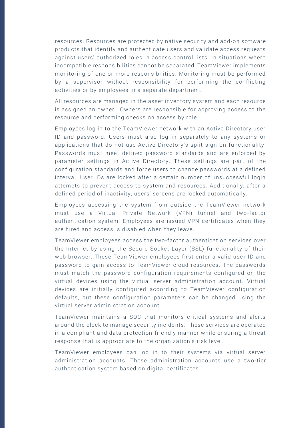resources. Resources are protected by native security and add-on software products that identify and authenticate users and validate access requests against users' authorized roles in access control lists. In situations where incompatible responsibilities cannot be separa ted, TeamViewer implements monitoring of one or more responsibilities. Monitoring must be performed by a supervisor without responsibility for performing the conflicting activities or by employees in a separate department.

All resources are managed in the asset inventory system and each resource is assigned an owner. Owners are responsible for approving access to the resource and performing checks on access by role.

Employees log in to the TeamViewer network with an Active Directory user ID and password. Users must also log in separately to any systems or applications that do not use Active Directory's split sign -on functionality. Passwords must meet defined password standards and are enforced by parameter settings in Active Directory. These settings are part of the configuration standards and force users to change passwords at a defined interval. User IDs are locked after a certain number of unsuccessful login attempts to prevent access to system and resources. Additionally, after a defined period of inactivity, users' screens are locked automatically.

Employees accessing the system from outside the TeamViewer network must use a Virtual Private Network (VPN) tunnel and two -factor authentication system. Employees are issued VPN certificates when they are hired and access is disabled when they leave.

TeamViewer employees access the two-factor authentication services over the Internet by using the Secure Socket Layer (SSL) functionality of their web browser. These TeamViewer employees first enter a valid user ID and password to gain access to TeamViewer cloud resources. The passwords must match the password configuration requirements configured on the virtual devices using the virtual server administration account. Virtual devices are initially configured according to TeamViewer configuration defaults, but these configuration parameters can be changed using the virtual server administration account.

TeamViewer maintains a SOC that monitors critical systems and alerts around the clock to manage security incidents. These services are operated in a compliant and data protection-friendly manner while ensuring a threat response that is appropriate to the organization's risk level.

TeamViewer employees can log in to their systems via virtual server administration accounts. These administration accounts use a two -tier authentication system based on digital certificates.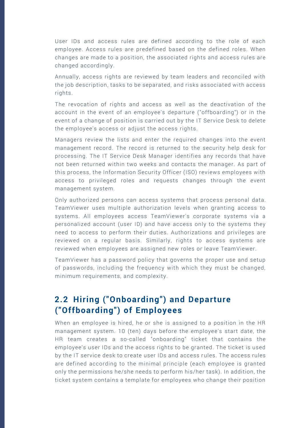User IDs and access rules are defined according to the role of each employee. Access rules are predefined based on the defined roles. When changes are made to a position, the associated rights and access rules are changed accordingly.

Annually, access rights are reviewed by team leaders and reconciled with the job description, tasks to be separated, and risks associated with access rights.

The revocation of rights and access as well as the deactivation of the account in the event of an employee's departure ("offboarding") or in the event of a change of position is carried out by the IT Service Desk to delete the employee's access or adjust the access rights.

Managers review the lists and enter the required changes into the event management record. The record is returned to the security help desk for processing. The IT Service Desk Manager identifies any records that have not been returned within two weeks and contacts the manager. As part of this process, the Information Security Officer (ISO) reviews employees with access to privileged roles and requests changes through the event management system.

Only authorized persons can access systems that process personal data. TeamViewer uses multiple authorization levels when granting access to systems. All employees access TeamViewer's corporate systems via a personalized account (user ID) and have access only to the systems they need to access to perform their duties. Authorizations and privileges are reviewed on a regular basis. Similarly, rights to access systems are reviewed when employees are assigned new roles or leave TeamViewer.

TeamViewer has a password policy that governs the proper use and setup of passwords, including the frequency with which they must be changed, minimum requirements, and complexity.

#### <span id="page-4-0"></span>**2.2 Hiring ("Onboarding") and Departure ("Offboarding") of Employees**

When an employee is hired, he or she is assigned to a position in the HR management system. 10 (ten) days before the employee's start date, the HR team creates a so-called "onboarding" ticket that contains the employee's user IDs and the access rights to be granted. The ticket is used by the IT service desk to create user IDs and access r ules. The access rules are defined according to the minimal principle (each employee is granted only the permissions he/she needs to perform his/her task). In addition, the ticket system contains a template for employees who change their position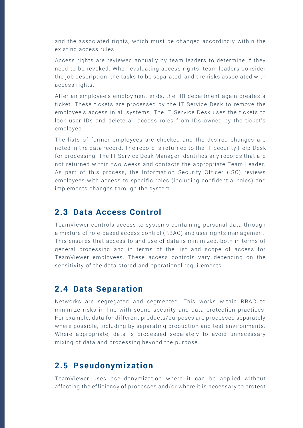and the associated rights, which must be changed accordingly within the existing access rules.

Access rights are reviewed annually by team leaders to determine if they need to be revoked. When evaluating access rights, team leaders consider the job description, the tasks to be separated, and the risks associated with access rights.

After an employee's employment ends, the HR department again creates a ticket. These tickets are processed by the IT Service Desk to remove the employee's access in all systems. The IT Se rvice Desk uses the tickets to lock user IDs and delete all access roles from IDs owned by the ticket's employee.

The lists of former employees are checked and the desired changes are noted in the data record. The record is returned to the IT Security Help Desk for processing. The IT Service Desk Manager identifies any records that are not returned within two weeks and contacts the appropriate Team Leader. As part of this process, the Information Security Officer (ISO) reviews employees with access to specific roles (including confidential roles) and implements changes through the system.

#### <span id="page-5-0"></span>**2.3 Data Access Control**

TeamViewer controls access to systems containing personal data through a mixture of role-based access control (RBAC) and user rights management. This ensures that access to and use of data is minimized, both in terms of general processing and in terms of the list and scope of access for TeamViewer employees. These access controls vary depending on the sensitivity of the data stored and operational requirements

#### <span id="page-5-1"></span>**2.4 Data Separation**

Networks are segregated and segmented. This works within RBAC to minimize risks in line with sound security and data protection practices. For example, data for different products/purposes are processed separately where possible, including by separating production and test environments. Where appropriate, data is processed separately to avoid unnecessary mixing of data and processing beyond the purpose.

#### <span id="page-5-2"></span>**2.5 Pseudonymization**

TeamViewer uses pseudonymization where it can be applied without affecting the efficiency of processes and/or where it is necessary to protect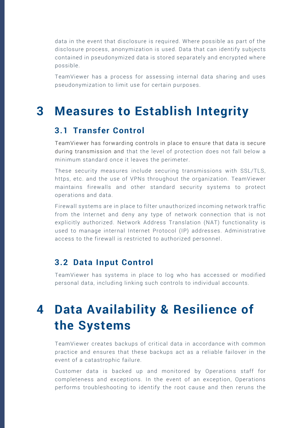data in the event that disclosure is required. Where possible as part of the disclosure process, anonymization is used. Data that can identify subjects contained in pseudonymized data is stored separately and encrypted where possible.

TeamViewer has a process for assessing internal data sharing and uses pseudonymization to limit use for certain purposes.

### <span id="page-6-0"></span>**3 Measures to Establish Integrity**

#### <span id="page-6-1"></span>**3.1 Transfer Control**

TeamViewer has forwarding controls in place to ensure that data is secure during transmission and that the level of protection does not fall below a minimum standard once it leaves the perimeter.

These security measures include securing transmissions with SSL/TLS, https, etc. and the use of VPNs throughout the organization. TeamViewer maintains firewalls and other standard security systems to protect operations and data.

Firewall systems are in place to filter unauth orized incoming network traffic from the Internet and deny any type of network connection that is not explicitly authorized. Network Address Translation (NAT) functionality is used to manage internal Internet Protocol (IP) addresses. Administrative access to the firewall is restricted to authorized personnel.

#### <span id="page-6-2"></span>**3.2 Data Input Control**

TeamViewer has systems in place to log who has accessed or modified personal data, including linking such controls to individual accounts.

## <span id="page-6-3"></span>**4 Data Availability & Resilience of the Systems**

TeamViewer creates backups of critical data in accordance with common practice and ensures that these backups act as a reliable failover in the event of a catastrophic failure.

Customer data is backed up and monitored by Operations staff for completeness and exceptions. In the event of an exception, Operations performs troubleshooting to identify the root cause and then reruns the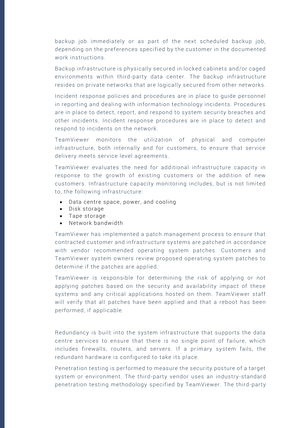backup job immediately or as part of the next scheduled backup job, depending on the preferences specified by the customer in the documented work instructions.

Backup infrastructure is physically secured in locked cabinets and/or caged environments within third-party data center. The backup infrastructure resides on private networks that are logically sec ured from other networks.

Incident response policies and procedures are in place to guide personnel in reporting and dealing with information technology incidents. Procedures are in place to detect, report, and respond to system security breaches and other incidents. Incident response procedures are in place to detect and respond to incidents on the network.

TeamViewer monitors the utilization of physical and computer infrastructure, both internally and for customers, to ensure that service delivery meets service level agreements.

TeamViewer evaluates the need for additional infrastructure capacity in response to the growth of existing customers or the addition of new customers. Infrastructure capacity monitoring includes, but is not limited to, the following infrastructure:

- Data centre space, power, and cooling
- Disk storage
- Tape storage
- Network bandwidth

TeamViewer has implemented a patch management process to ensure that contracted customer and infrastructure systems are patched in accordance with vendor recommended operating system patches. Customers and TeamViewer system owners review proposed operating system patches to determine if the patches are applied.

TeamViewer is responsible for determining the risk of applying or not applying patches based on the security and availability impact of these systems and any critical applications hosted on them. TeamViewer staff will verify that all patches have been applied and that a reboot has been performed, if applicable.

Redundancy is built into the system infrastructure that supports the data centre services to ensure that there is no single point of failure, which includes firewalls, routers, and servers. If a primary system fails, the redundant hardware is configured to take its place.

Penetration testing is performed to measure the security posture of a target system or environment. The third-party vendor uses an industry -standard penetration testing methodology specified by TeamViewer. The third-party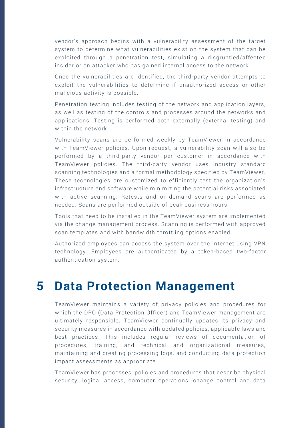vendor's approach begins with a vulnerability assessment of the target system to determine what vulnerabilities exist on the system that can be exploited through a penetration test, simulating a disgruntled/affecte d insider or an attacker who has gained internal access to the network.

Once the vulnerabilities are identified, the third -party vendor attempts to exploit the vulnerabilities to determine if unauthorized access or other malicious activity is possible.

Penetration testing includes testing of the network and application layers, as well as testing of the controls and processes around the networks and applications. Testing is performed both externally (external testing) and within the network.

Vulnerability scans are performed weekly by TeamViewer in accordance with TeamViewer policies. Upon request, a vulnerability scan will also be performed by a third-party vendor per customer in accordance with TeamViewer policies. The third-party vendor uses industry standard scanning technologies and a formal methodology specified by TeamViewer. These technologies are customized to efficiently test the organization's infrastructure and software while minimizing the potential risks associated with active scanning. Retests and on-demand scans are performed as needed. Scans are performed outside of peak business hours.

Tools that need to be installed in the TeamViewer system are implemented via the change management process. Scanning is performed with approved scan templates and with bandwidth throttling options enabled.

Authorized employees can access the system over the Internet using VPN technology. Employees are authenticated by a token -based two-factor authentication system.

### <span id="page-8-0"></span>**5 Data Protection Management**

TeamViewer maintains a variety of privacy policies and procedures for which the DPO (Data Protection Officer) and TeamViewer management are ultimately responsible. TeamViewer continually updates its privacy and security measures in accordance with updated policies, applicable laws and best practices. This includes regular reviews of documentation of procedures, training, and technical and organizational measures, maintaining and creating processing logs, and conducting data protection impact assessments as appropriate.

TeamViewer has processes, policies and procedures that describe physical security, logical access, computer operations, change control and data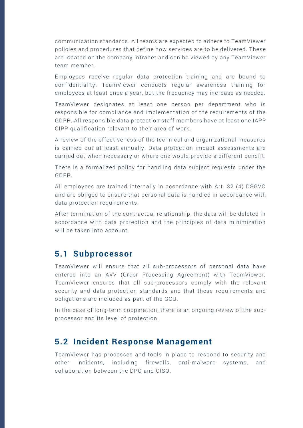communication standards. All teams are expected to adhere to TeamViewer policies and procedures that define how servic es are to be delivered. These are located on the company intranet and can be viewed by any TeamViewer team member.

Employees receive regular data protection training and are bound to confidentiality. TeamViewer conducts regular awareness training for employees at least once a year, but the frequency may increase as needed.

TeamViewer designates at least one person per department who is responsible for compliance and implementation of the requirements of the GDPR. All responsible data protection staff member s have at least one IAPP CIPP qualification relevant to their area of work.

A review of the effectiveness of the technical and organizational measures is carried out at least annually. Data protection impact assessments are carried out when necessary or where one would provide a different benefit.

There is a formalized policy for handling data subject requests under the GDPR.

All employees are trained internally in accordance with Art. 32 (4) DSGVO and are obliged to ensure that personal data is handled in accordance with data protection requirements.

After termination of the contractual relationship, the data will be deleted in accordance with data protection and the principles of data minimization will be taken into account.

#### <span id="page-9-0"></span>**5.1 Subprocessor**

TeamViewer will ensure that all sub -processors of personal data have entered into an AVV (Order Processing Agreement) with TeamViewer. TeamViewer ensures that all sub-processors comply with the relevant security and data protection standards and that these requirements and obligations are included as part of the GCU.

In the case of long-term cooperation, there is an ongoing review of the sub processor and its level of protection.

#### <span id="page-9-1"></span>**5.2 Incident Response Management**

TeamViewer has processes and tools in place to respond to security and other incidents, including firewalls, anti -malware systems, and collaboration between the DPO and CISO.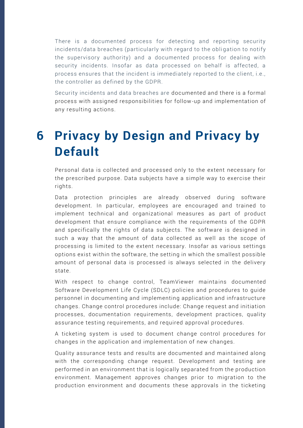There is a documented process for detecting and reporting security incidents/data breaches (particularly with regard to the obligation to notify the supervisory authority) and a documented process for dealing with security incidents. Insofar as data processed on behalf is affected, a process ensures that the incident is immediately reported to the client, i.e., the controller as defined by the GDPR.

Security incidents and data breaches are documented and there is a formal process with assigned responsibilities for follow-up and implementation of any resulting actions.

# <span id="page-10-0"></span>**6 Privacy by Design and Privacy by Default**

Personal data is collected and processed only to the extent necessary for the prescribed purpose. Data subjects have a simple way to exercise their rights.

Data protection principles are already observed during software development. In particular, employees are encouraged and trained to implement technical and organizational measures as part of product development that ensure compliance with the requirements of the GDPR and specifically the rights of data subjects. The software is designed in such a way that the amount of data collected as well as the scope of processing is limited to the extent necessary. Insofar as various settings options exist within the software, the setting in which the smallest possible amount of personal data is processed is always selected in the delivery state.

With respect to change control, TeamViewer maintains documented Software Development Life Cycle (SDLC) policies and procedures to guide personnel in documenting and implementing application and infrastructure changes. Change control procedures include: Change request and initiation processes, documentation requirements, development practices, quality assurance testing requirements, and required approval procedures.

A ticketing system is used to document change control procedures for changes in the application and implementation of new changes.

Quality assurance tests and results are documented and maintained along with the corresponding change request. Development and testing are performed in an environment that is logically separated from the production environment. Management approves changes prior to migration to the production environment and documents these approvals in the ticketing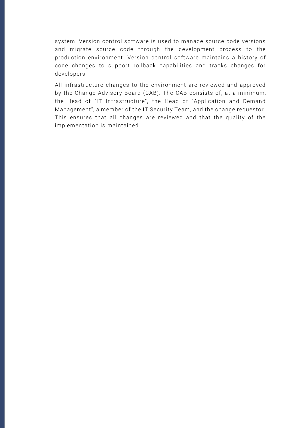system. Version control software is used to manage source code versions and migrate source code through the development process to the production environment. Version control software maintains a history of code changes to support rollback capabilities and tracks changes for developers.

All infrastructure changes to the environment are reviewed and approved by the Change Advisory Board (CAB). The CAB consists of, at a minimum, the Head of "IT Infrastructure", the Head of "Application and Demand Management", a member of the IT Security Team, and the change requestor. This ensures that all changes are reviewed and that the quality of the implementation is maintained.